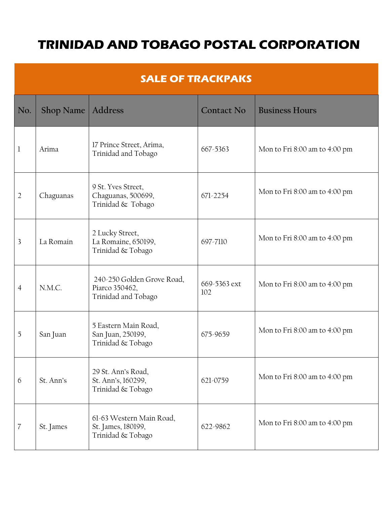## **TRINIDAD AND TOBAGO POSTAL CORPORATION**

| <b>SALE OF TRACKPAKS</b> |                     |                                                                     |                     |                                   |  |
|--------------------------|---------------------|---------------------------------------------------------------------|---------------------|-----------------------------------|--|
| No.                      | Shop Name   Address |                                                                     | <b>Contact No</b>   | <b>Business Hours</b>             |  |
| 1                        | Arima               | 17 Prince Street, Arima,<br>Trinidad and Tobago                     | 667-5363            | Mon to Fri $8:00$ am to $4:00$ pm |  |
| $\overline{2}$           | Chaguanas           | 9 St. Yves Street,<br>Chaguanas, 500699,<br>Trinidad & Tobago       | 671-2254            | Mon to Fri 8:00 am to 4:00 pm     |  |
| 3                        | La Romain           | 2 Lucky Street,<br>La Romaine, 650199,<br>Trinidad & Tobago         | 697-7110            | Mon to Fri 8:00 am to 4:00 pm     |  |
| $\overline{4}$           | N.M.C.              | 240-250 Golden Grove Road,<br>Piarco 350462,<br>Trinidad and Tobago | 669-5363 ext<br>102 | Mon to Fri 8:00 am to 4:00 pm     |  |
| 5                        | San Juan            | 5 Eastern Main Road,<br>San Juan, 250199,<br>Trinidad & Tobago      | 675-9659            | Mon to Fri 8:00 am to 4:00 pm     |  |
| 6                        | St. Ann's           | 29 St. Ann's Road,<br>St. Ann's, 160299,<br>Trinidad & Tobago       | 621-0759            | Mon to Fri 8:00 am to 4:00 pm     |  |
| 7                        | St. James           | 61-63 Western Main Road,<br>St. James, 180199,<br>Trinidad & Tobago | 622-9862            | Mon to Fri 8:00 am to 4:00 pm     |  |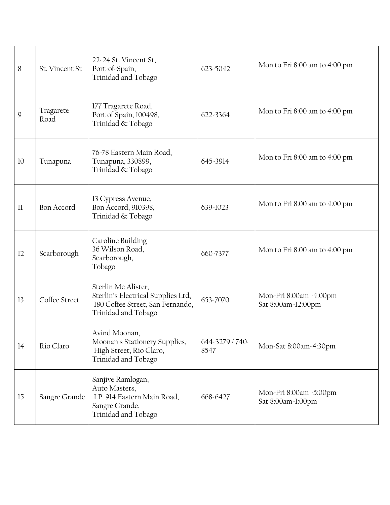| 8  | St. Vincent St    | 22-24 St. Vincent St,<br>Port-of-Spain,<br>Trinidad and Tobago                                                       | 623-5042                | Mon to Fri 8:00 am to 4:00 pm                |
|----|-------------------|----------------------------------------------------------------------------------------------------------------------|-------------------------|----------------------------------------------|
| 9  | Tragarete<br>Road | 177 Tragarete Road,<br>Port of Spain, 100498,<br>Trinidad & Tobago                                                   | 622-3364                | Mon to Fri 8:00 am to 4:00 pm                |
| 10 | Tunapuna          | 76-78 Eastern Main Road,<br>Tunapuna, 330899,<br>Trinidad & Tobago                                                   | 645-3914                | Mon to Fri 8:00 am to 4:00 pm                |
| 11 | <b>Bon Accord</b> | 13 Cypress Avenue,<br>Bon Accord, 910398,<br>Trinidad & Tobago                                                       | 639-1023                | Mon to Fri 8:00 am to 4:00 pm                |
| 12 | Scarborough       | Caroline Building<br>36 Wilson Road,<br>Scarborough,<br>Tobago                                                       | 660-7377                | Mon to Fri 8:00 am to 4:00 pm                |
| 13 | Coffee Street     | Sterlin Mc Alister,<br>Sterlin's Electrical Supplies Ltd,<br>180 Coffee Street, San Fernando,<br>Trinidad and Tobago | 653-7070                | Mon-Fri 8:00am -4:00pm<br>Sat 8:00am-12:00pm |
| 14 | Rio Claro         | Avind Moonan,<br>Moonan's Stationery Supplies,<br>High Street, Rio Claro,<br>Trinidad and Tobago                     | 644-3279 / 740-<br>8547 | Mon-Sat 8:00am-4:30pm                        |
| 15 | Sangre Grande     | Sanjive Ramlogan,<br>Auto Masters,<br>LP 914 Eastern Main Road,<br>Sangre Grande,<br>Trinidad and Tobago             | 668-6427                | Mon-Fri 8:00am -5:00pm<br>Sat 8:00am-1:00pm  |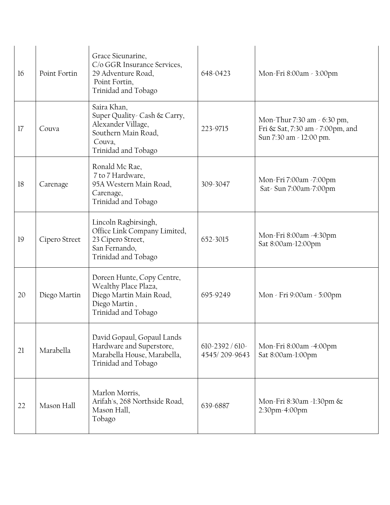| 16 | Point Fortin  | Grace Sieunarine,<br>C/o GGR Insurance Services,<br>29 Adventure Road,<br>Point Fortin,<br>Trinidad and Tobago            | 648-0423                            | Mon-Fri 8:00am - 3:00pm                                                                    |
|----|---------------|---------------------------------------------------------------------------------------------------------------------------|-------------------------------------|--------------------------------------------------------------------------------------------|
| 17 | Couva         | Saira Khan,<br>Super Quality- Cash & Carry,<br>Alexander Village,<br>Southern Main Road,<br>Couva,<br>Trinidad and Tobago | 223-9715                            | Mon-Thur 7:30 am - 6:30 pm,<br>Fri & Sat, 7:30 am - 7:00pm, and<br>Sun 7:30 am - 12:00 pm. |
| 18 | Carenage      | Ronald Mc Rae,<br>7 to 7 Hardware,<br>95A Western Main Road,<br>Carenage,<br>Trinidad and Tobago                          | 309-3047                            | Mon-Fri 7:00am -7:00pm<br>Sat-Sun 7:00am-7:00pm                                            |
| 19 | Cipero Street | Lincoln Ragbirsingh,<br>Office Link Company Limited,<br>23 Cipero Street,<br>San Fernando,<br>Trinidad and Tobago         | 652-3015                            | Mon-Fri 8:00am -4:30pm<br>Sat 8:00am-12:00pm                                               |
| 20 | Diego Martin  | Doreen Hunte, Copy Centre,<br>Wealthy Place Plaza,<br>Diego Martin Main Road,<br>Diego Martin,<br>Trinidad and Tobago     | 695-9249                            | Mon - Fri 9:00am - 5:00pm                                                                  |
| 21 | Marabella     | David Gopaul, Gopaul Lands<br>Hardware and Superstore,<br>Marabella House, Marabella,<br>Trinidad and Tobago              | $610 - 2392 / 610$<br>4545/209-9643 | Mon-Fri 8:00am -4:00pm<br>Sat 8:00am-1:00pm                                                |
| 22 | Mason Hall    | Marlon Morris,<br>Arifah's, 268 Northside Road,<br>Mason Hall,<br>Tobago                                                  | 639-6887                            | Mon-Fri 8:30am -1:30pm &<br>2:30pm-4:00pm                                                  |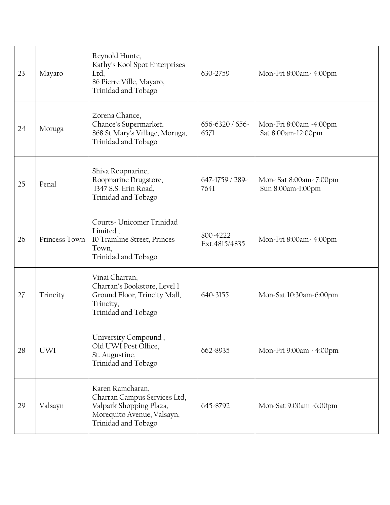| 23 | Mayaro        | Reynold Hunte,<br>Kathy's Kool Spot Enterprises<br>Ltd,<br>86 Pierre Ville, Mayaro,<br>Trinidad and Tobago                       | 630-2759                   | Mon-Fri 8:00am- 4:00pm                       |
|----|---------------|----------------------------------------------------------------------------------------------------------------------------------|----------------------------|----------------------------------------------|
| 24 | Moruga        | Zorena Chance,<br>Chance's Supermarket,<br>868 St Mary's Village, Moruga,<br>Trinidad and Tobago                                 | $656 - 6320 / 656$<br>6571 | Mon-Fri 8:00am -4:00pm<br>Sat 8:00am-12:00pm |
| 25 | Penal         | Shiva Roopnarine,<br>Roopnarine Drugstore,<br>1347 S.S. Erin Road,<br>Trinidad and Tobago                                        | 647-1759 / 289-<br>7641    | Mon-Sat 8:00am-7:00pm<br>Sun 8:00am-1:00pm   |
| 26 | Princess Town | Courts-Unicomer Trinidad<br>Limited,<br>10 Tramline Street, Princes<br>Town,<br>Trinidad and Tobago                              | 800-4222<br>Ext.4815/4835  | Mon-Fri 8:00am- 4:00pm                       |
| 27 | Trincity      | Vinai Charran,<br>Charran's Bookstore, Level 1<br>Ground Floor, Trincity Mall,<br>Trincity,<br>Trinidad and Tobago               | 640-3155                   | Mon-Sat 10:30am-6:00pm                       |
| 28 | <b>UWI</b>    | University Compound,<br>Old UWI Post Office,<br>St. Augustine,<br>Trinidad and Tobago                                            | 662-8935                   | Mon-Fri 9:00am - 4:00pm                      |
| 29 | Valsayn       | Karen Ramcharan,<br>Charran Campus Services Ltd,<br>Valpark Shopping Plaza,<br>Morequito Avenue, Valsayn,<br>Trinidad and Tobago | 645-8792                   | Mon-Sat 9:00am -6:00pm                       |